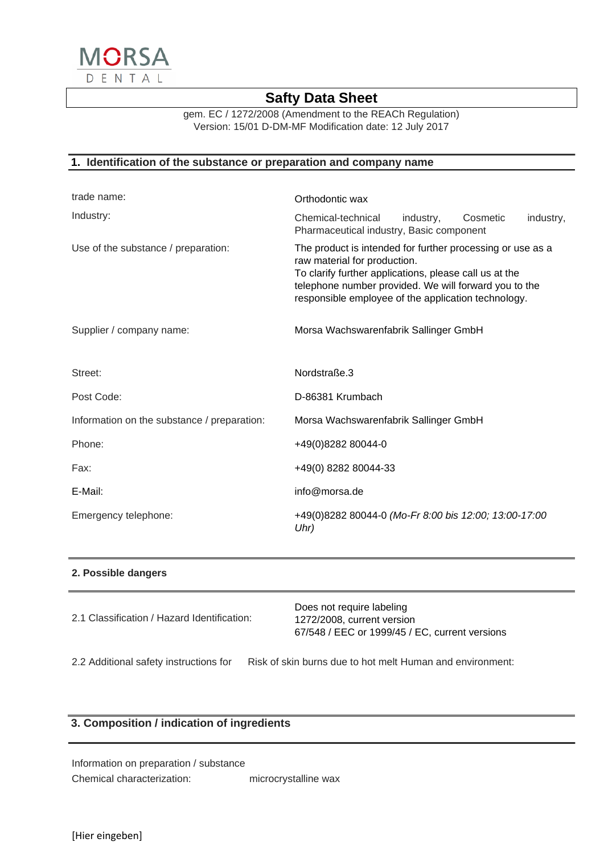

gem. EC / 1272/2008 (Amendment to the REACh Regulation) Version: 15/01 D-DM-MF Modification date: 12 July 2017

### **1. Identification of the substance or preparation and company name**

| trade name:                                 | Orthodontic wax                                                                                                                                                                                                                                                      |  |
|---------------------------------------------|----------------------------------------------------------------------------------------------------------------------------------------------------------------------------------------------------------------------------------------------------------------------|--|
| Industry:                                   | Chemical-technical<br>industry,<br>Cosmetic<br>industry,<br>Pharmaceutical industry, Basic component                                                                                                                                                                 |  |
| Use of the substance / preparation:         | The product is intended for further processing or use as a<br>raw material for production.<br>To clarify further applications, please call us at the<br>telephone number provided. We will forward you to the<br>responsible employee of the application technology. |  |
| Supplier / company name:                    | Morsa Wachswarenfabrik Sallinger GmbH                                                                                                                                                                                                                                |  |
| Street:                                     | Nordstraße.3                                                                                                                                                                                                                                                         |  |
| Post Code:                                  | D-86381 Krumbach                                                                                                                                                                                                                                                     |  |
| Information on the substance / preparation: | Morsa Wachswarenfabrik Sallinger GmbH                                                                                                                                                                                                                                |  |
| Phone:                                      | +49(0)8282 80044-0                                                                                                                                                                                                                                                   |  |
| Fax:                                        | +49(0) 8282 80044-33                                                                                                                                                                                                                                                 |  |
| E-Mail:                                     | info@morsa.de                                                                                                                                                                                                                                                        |  |
| Emergency telephone:                        | +49(0)8282 80044-0 (Mo-Fr 8:00 bis 12:00; 13:00-17:00<br>Uhr)                                                                                                                                                                                                        |  |

#### **2. Possible dangers**

| 2.1 Classification / Hazard Identification: | Does not require labeling<br>1272/2008, current version<br>67/548 / EEC or 1999/45 / EC. current versions |
|---------------------------------------------|-----------------------------------------------------------------------------------------------------------|
|                                             |                                                                                                           |

2.2 Additional safety instructions for Risk of skin burns due to hot melt Human and environment:

## **3. Composition / indication of ingredients**

Information on preparation / substance Chemical characterization: microcrystalline wax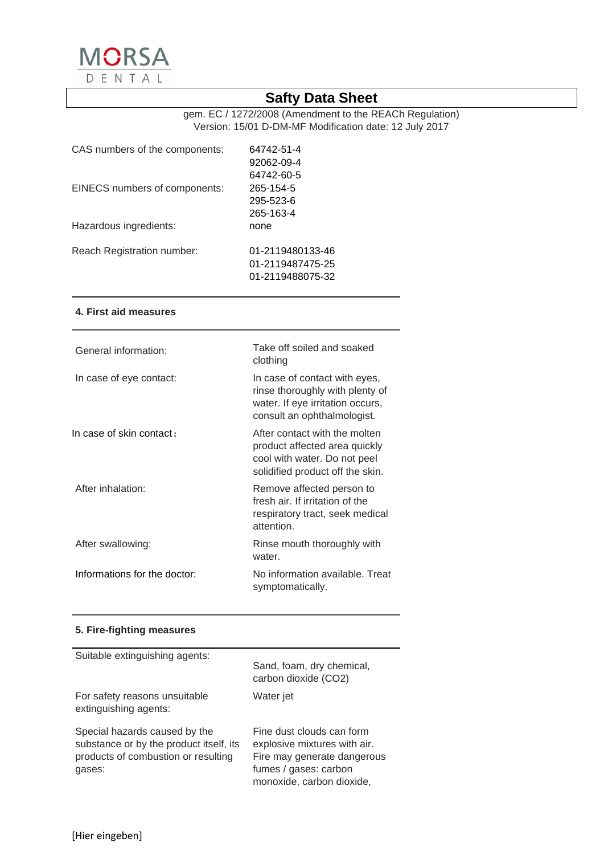

gem. EC / 1272/2008 (Amendment to the REACh Regulation) Version: 15/01 D-DM-MF Modification date: 12 July 2017

| CAS numbers of the components: | 64742-51-4       |
|--------------------------------|------------------|
|                                | 92062-09-4       |
|                                | 64742-60-5       |
| EINECS numbers of components:  | 265-154-5        |
|                                | 295-523-6        |
|                                | 265-163-4        |
| Hazardous ingredients:         | none             |
|                                |                  |
| Reach Registration number:     | 01-2119480133-46 |
|                                | 01-2119487475-25 |
|                                | 01-2119488075-32 |

#### **4. First aid measures**

| General information:         | Take off soiled and soaked<br>clothing                                                                                              |
|------------------------------|-------------------------------------------------------------------------------------------------------------------------------------|
| In case of eye contact:      | In case of contact with eyes,<br>rinse thoroughly with plenty of<br>water. If eye irritation occurs,<br>consult an ophthalmologist. |
| In case of skin contact:     | After contact with the molten<br>product affected area quickly<br>cool with water. Do not peel<br>solidified product off the skin.  |
| After inhalation:            | Remove affected person to<br>fresh air. If irritation of the<br>respiratory tract, seek medical<br>attention.                       |
| After swallowing:            | Rinse mouth thoroughly with<br>water.                                                                                               |
| Informations for the doctor: | No information available. Treat<br>symptomatically.                                                                                 |

### **5. Fire-fighting measures**

| Suitable extinguishing agents:                                                                                            | Sand, foam, dry chemical,<br>carbon dioxide (CO2)                                                                                              |
|---------------------------------------------------------------------------------------------------------------------------|------------------------------------------------------------------------------------------------------------------------------------------------|
| For safety reasons unsuitable<br>extinguishing agents:                                                                    | Water jet                                                                                                                                      |
| Special hazards caused by the<br>substance or by the product itself, its<br>products of combustion or resulting<br>gases: | Fine dust clouds can form<br>explosive mixtures with air.<br>Fire may generate dangerous<br>fumes / gases: carbon<br>monoxide, carbon dioxide, |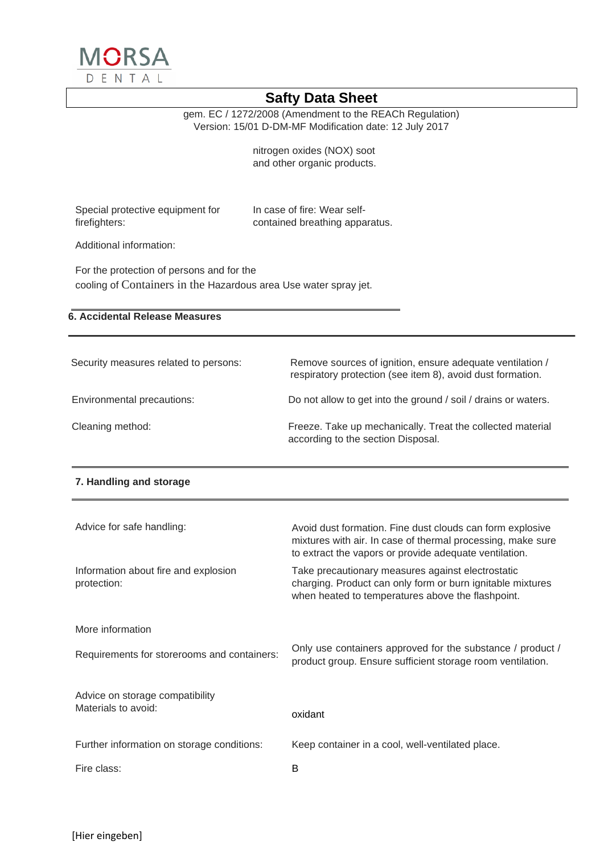

gem. EC / 1272/2008 (Amendment to the REACh Regulation) Version: 15/01 D-DM-MF Modification date: 12 July 2017

> nitrogen oxides (NOX) soot and other organic products.

Special protective equipment for firefighters:

In case of fire: Wear selfcontained breathing apparatus.

Additional information:

For the protection of persons and for the cooling of Containers in the Hazardous area Use water spray jet.

## **6. Accidental Release Measures**

| Security measures related to persons: | Remove sources of ignition, ensure adequate ventilation /<br>respiratory protection (see item 8), avoid dust formation. |
|---------------------------------------|-------------------------------------------------------------------------------------------------------------------------|
| Environmental precautions:            | Do not allow to get into the ground / soil / drains or waters.                                                          |
| Cleaning method:                      | Freeze. Take up mechanically. Treat the collected material<br>according to the section Disposal.                        |

#### **7. Handling and storage**

| Advice for safe handling:                           | Avoid dust formation. Fine dust clouds can form explosive<br>mixtures with air. In case of thermal processing, make sure<br>to extract the vapors or provide adequate ventilation. |
|-----------------------------------------------------|------------------------------------------------------------------------------------------------------------------------------------------------------------------------------------|
| Information about fire and explosion<br>protection: | Take precautionary measures against electrostatic<br>charging. Product can only form or burn ignitable mixtures<br>when heated to temperatures above the flashpoint.               |
| More information                                    |                                                                                                                                                                                    |
| Requirements for storerooms and containers:         | Only use containers approved for the substance / product /<br>product group. Ensure sufficient storage room ventilation.                                                           |
| Advice on storage compatibility                     |                                                                                                                                                                                    |
| Materials to avoid:                                 | oxidant                                                                                                                                                                            |
| Further information on storage conditions:          | Keep container in a cool, well-ventilated place.                                                                                                                                   |
| Fire class:                                         | B                                                                                                                                                                                  |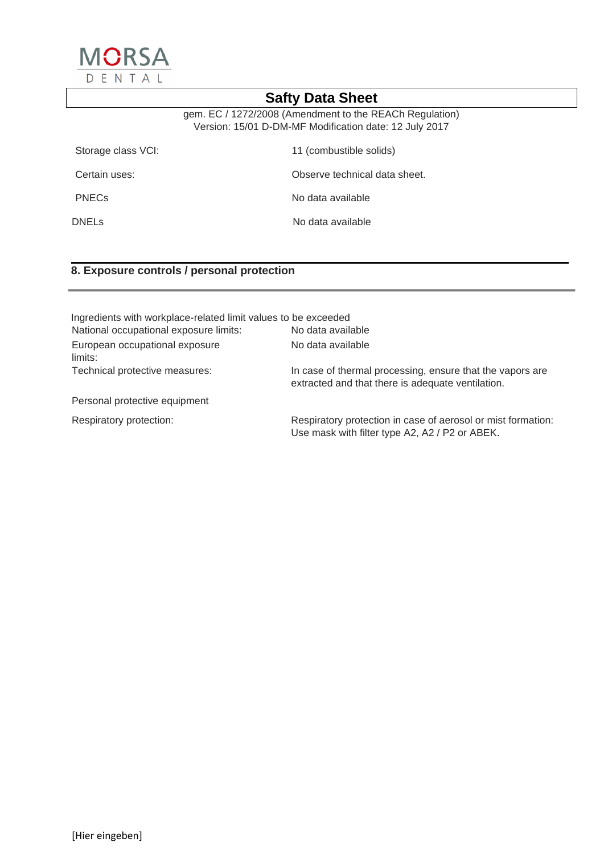

gem. EC / 1272/2008 (Amendment to the REACh Regulation) Version: 15/01 D-DM-MF Modification date: 12 July 2017

| Storage class VCI: | 11 (combustible solids)       |
|--------------------|-------------------------------|
| Certain uses:      | Observe technical data sheet. |
| <b>PNECs</b>       | No data available             |
| DNELs              | No data available             |

# **8. Exposure controls / personal protection**

| Ingredients with workplace-related limit values to be exceeded |                                                                                                                |
|----------------------------------------------------------------|----------------------------------------------------------------------------------------------------------------|
| National occupational exposure limits:                         | No data available                                                                                              |
| European occupational exposure<br>limits:                      | No data available                                                                                              |
| Technical protective measures:                                 | In case of thermal processing, ensure that the vapors are<br>extracted and that there is adequate ventilation. |
| Personal protective equipment                                  |                                                                                                                |
| Respiratory protection:                                        | Respiratory protection in case of aerosol or mist formation:<br>Use mask with filter type A2, A2 / P2 or ABEK. |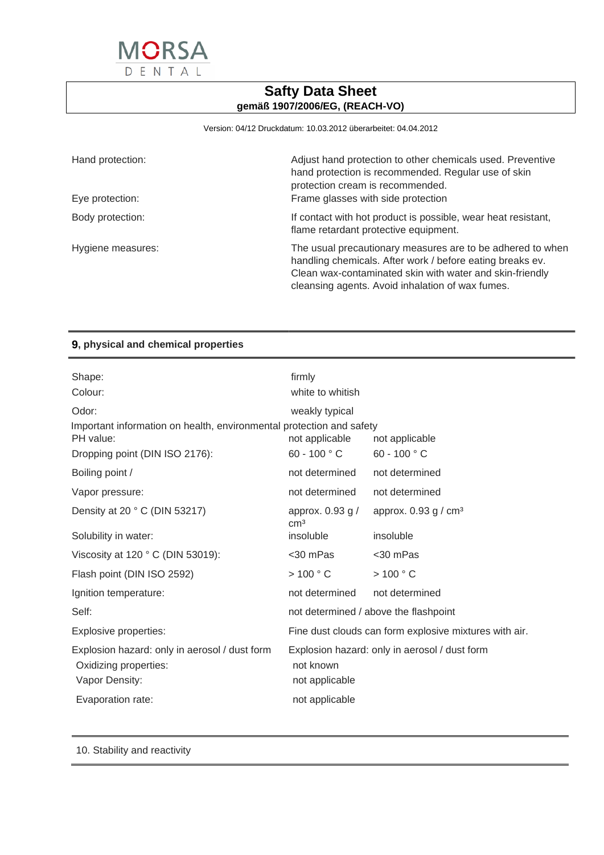

Version: 04/12 Druckdatum: 10.03.2012 überarbeitet: 04.04.2012

| Hand protection:<br>Eye protection: | Adjust hand protection to other chemicals used. Preventive<br>hand protection is recommended. Regular use of skin<br>protection cream is recommended.<br>Frame glasses with side protection                                             |
|-------------------------------------|-----------------------------------------------------------------------------------------------------------------------------------------------------------------------------------------------------------------------------------------|
|                                     |                                                                                                                                                                                                                                         |
| Body protection:                    | If contact with hot product is possible, wear heat resistant,<br>flame retardant protective equipment.                                                                                                                                  |
| Hygiene measures:                   | The usual precautionary measures are to be adhered to when<br>handling chemicals. After work / before eating breaks ev.<br>Clean wax-contaminated skin with water and skin-friendly<br>cleansing agents. Avoid inhalation of wax fumes. |

# **9, physical and chemical properties**

| Shape:                                                                                   | firmly                                  |                                                        |
|------------------------------------------------------------------------------------------|-----------------------------------------|--------------------------------------------------------|
| Colour:                                                                                  | white to whitish                        |                                                        |
| Odor:                                                                                    | weakly typical                          |                                                        |
| Important information on health, environmental protection and safety<br>PH value:        | not applicable                          | not applicable                                         |
| Dropping point (DIN ISO 2176):                                                           | 60 - 100 $^{\circ}$ C                   | 60 - 100 $^{\circ}$ C                                  |
| Boiling point /                                                                          | not determined                          | not determined                                         |
| Vapor pressure:                                                                          | not determined                          | not determined                                         |
| Density at 20 °C (DIN 53217)                                                             | approx. $0.93$ g $/$<br>cm <sup>3</sup> | approx. $0.93$ g / $cm3$                               |
| Solubility in water:                                                                     | insoluble                               | insoluble                                              |
| Viscosity at 120 ° C (DIN 53019):                                                        | <30 mPas                                | <30 mPas                                               |
| Flash point (DIN ISO 2592)                                                               | >100 °C                                 | >100 °C                                                |
| Ignition temperature:                                                                    | not determined                          | not determined                                         |
| Self:                                                                                    |                                         | not determined / above the flashpoint                  |
| Explosive properties:                                                                    |                                         | Fine dust clouds can form explosive mixtures with air. |
| Explosion hazard: only in aerosol / dust form<br>Oxidizing properties:<br>Vapor Density: | not known<br>not applicable             | Explosion hazard: only in aerosol / dust form          |
| Evaporation rate:                                                                        | not applicable                          |                                                        |
|                                                                                          |                                         |                                                        |

10. Stability and reactivity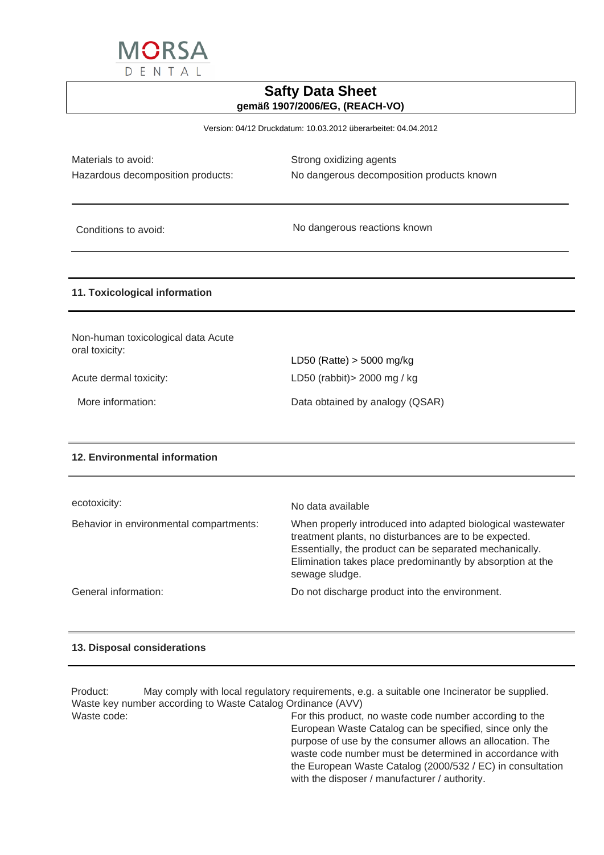

Version: 04/12 Druckdatum: 10.03.2012 überarbeitet: 04.04.2012

Materials to avoid: Materials to avoid: Strong oxidizing agents

Hazardous decomposition products: No dangerous decomposition products known

Conditions to avoid: No dangerous reactions known

#### **11. Toxicological information**

Non-human toxicological data Acute oral toxicity: LD50 (Ratte) > 5000 mg/kg Acute dermal toxicity: LD50 (rabbit) > 2000 mg / kg More information: Data obtained by analogy (QSAR)

#### **12. Environmental information**

| ecotoxicity:                            | No data available                                                                                                                                                                                                                                               |
|-----------------------------------------|-----------------------------------------------------------------------------------------------------------------------------------------------------------------------------------------------------------------------------------------------------------------|
| Behavior in environmental compartments: | When properly introduced into adapted biological wastewater<br>treatment plants, no disturbances are to be expected.<br>Essentially, the product can be separated mechanically.<br>Elimination takes place predominantly by absorption at the<br>sewage sludge. |
| General information:                    | Do not discharge product into the environment.                                                                                                                                                                                                                  |

#### **13. Disposal considerations**

Product: May comply with local regulatory requirements, e.g. a suitable one Incinerator be supplied. Waste key number according to Waste Catalog Ordinance (AVV) Waste code: Waste code: For this product, no waste code number according to the European Waste Catalog can be specified, since only the purpose of use by the consumer allows an allocation. The waste code number must be determined in accordance with the European Waste Catalog (2000/532 / EC) in consultation

with the disposer / manufacturer / authority.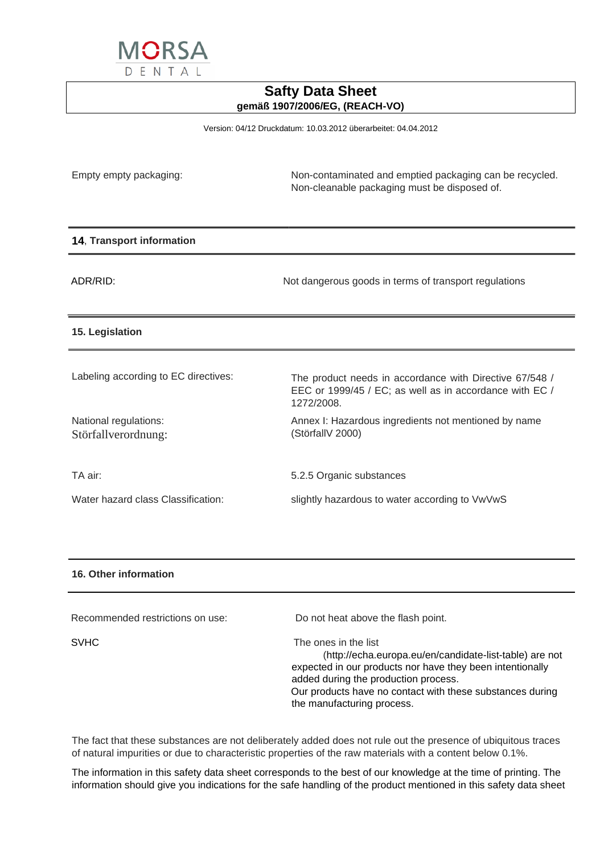

Version: 04/12 Druckdatum: 10.03.2012 überarbeitet: 04.04.2012

| Empty empty packaging:                       | Non-contaminated and emptied packaging can be recycled.<br>Non-cleanable packaging must be disposed of.                          |
|----------------------------------------------|----------------------------------------------------------------------------------------------------------------------------------|
| 14, Transport information                    |                                                                                                                                  |
| ADR/RID:                                     | Not dangerous goods in terms of transport regulations                                                                            |
| 15. Legislation                              |                                                                                                                                  |
| Labeling according to EC directives:         | The product needs in accordance with Directive 67/548 /<br>EEC or 1999/45 / EC; as well as in accordance with EC /<br>1272/2008. |
| National regulations:<br>Störfallverordnung: | Annex I: Hazardous ingredients not mentioned by name<br>(StörfallV 2000)                                                         |
| TA air:                                      | 5.2.5 Organic substances                                                                                                         |
| Water hazard class Classification:           | slightly hazardous to water according to VwVwS                                                                                   |

### **16. Other information**

| Recommended restrictions on use: | Do not heat above the flash point.                                                                                                                                                                                                                                              |
|----------------------------------|---------------------------------------------------------------------------------------------------------------------------------------------------------------------------------------------------------------------------------------------------------------------------------|
| <b>SVHC</b>                      | The ones in the list<br>(http://echa.europa.eu/en/candidate-list-table) are not<br>expected in our products nor have they been intentionally<br>added during the production process.<br>Our products have no contact with these substances during<br>the manufacturing process. |

The fact that these substances are not deliberately added does not rule out the presence of ubiquitous traces of natural impurities or due to characteristic properties of the raw materials with a content below 0.1%.

The information in this safety data sheet corresponds to the best of our knowledge at the time of printing. The information should give you indications for the safe handling of the product mentioned in this safety data sheet